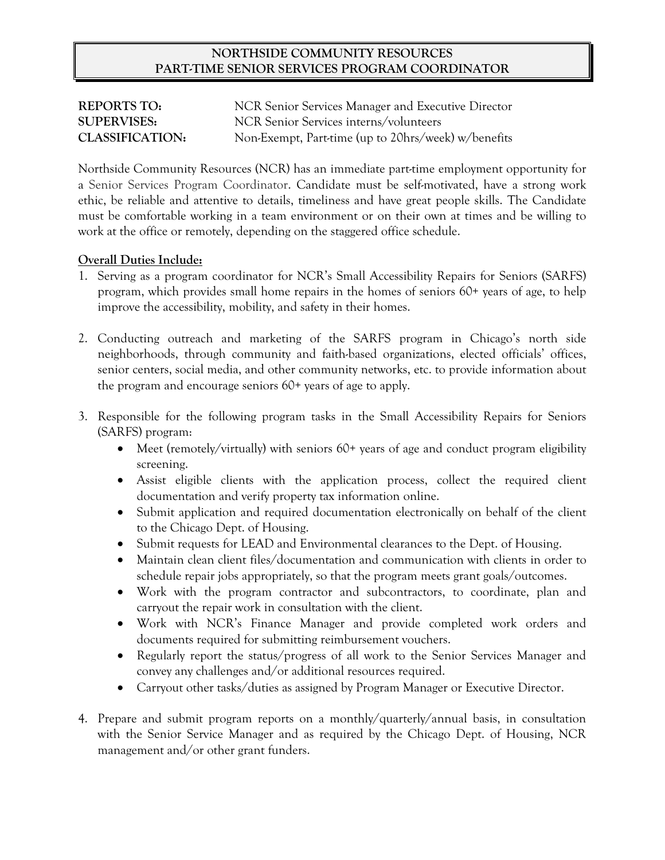## **NORTHSIDE COMMUNITY RESOURCES PART-TIME SENIOR SERVICES PROGRAM COORDINATOR**

| <b>REPORTS TO:</b>     | NCR Senior Services Manager and Executive Director  |
|------------------------|-----------------------------------------------------|
| <b>SUPERVISES:</b>     | NCR Senior Services interns/volunteers              |
| <b>CLASSIFICATION:</b> | Non-Exempt, Part-time (up to 20hrs/week) w/benefits |

Northside Community Resources (NCR) has an immediate part-time employment opportunity for a Senior Services Program Coordinator. Candidate must be self-motivated, have a strong work ethic, be reliable and attentive to details, timeliness and have great people skills. The Candidate must be comfortable working in a team environment or on their own at times and be willing to work at the office or remotely, depending on the staggered office schedule.

## **Overall Duties Include:**

- 1. Serving as a program coordinator for NCR's Small Accessibility Repairs for Seniors (SARFS) program, which provides small home repairs in the homes of seniors 60+ years of age, to help improve the accessibility, mobility, and safety in their homes.
- 2. Conducting outreach and marketing of the SARFS program in Chicago's north side neighborhoods, through community and faith-based organizations, elected officials' offices, senior centers, social media, and other community networks, etc. to provide information about the program and encourage seniors 60+ years of age to apply.
- 3. Responsible for the following program tasks in the Small Accessibility Repairs for Seniors (SARFS) program:
	- Meet (remotely/virtually) with seniors 60+ years of age and conduct program eligibility screening.
	- Assist eligible clients with the application process, collect the required client documentation and verify property tax information online.
	- Submit application and required documentation electronically on behalf of the client to the Chicago Dept. of Housing.
	- Submit requests for LEAD and Environmental clearances to the Dept. of Housing.
	- Maintain clean client files/documentation and communication with clients in order to schedule repair jobs appropriately, so that the program meets grant goals/outcomes.
	- Work with the program contractor and subcontractors, to coordinate, plan and carryout the repair work in consultation with the client.
	- Work with NCR's Finance Manager and provide completed work orders and documents required for submitting reimbursement vouchers.
	- Regularly report the status/progress of all work to the Senior Services Manager and convey any challenges and/or additional resources required.
	- Carryout other tasks/duties as assigned by Program Manager or Executive Director.
- 4. Prepare and submit program reports on a monthly/quarterly/annual basis, in consultation with the Senior Service Manager and as required by the Chicago Dept. of Housing, NCR management and/or other grant funders.